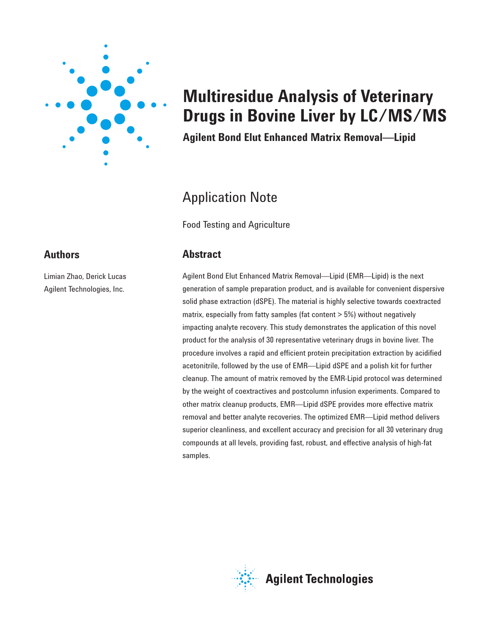

# **Multiresidue Analysis of Veterinary Drugs in Bovine Liver by LC/MS/MS**

**Agilent Bond Elut Enhanced Matrix Removal—Lipid**

## Application Note

Food Testing and Agriculture

## **Abstract**

Agilent Bond Elut Enhanced Matrix Removal—Lipid (EMR—Lipid) is the next generation of sample preparation product, and is available for convenient dispersive solid phase extraction (dSPE). The material is highly selective towards coextracted matrix, especially from fatty samples (fat content > 5%) without negatively impacting analyte recovery. This study demonstrates the application of this novel product for the analysis of 30 representative veterinary drugs in bovine liver. The procedure involves a rapid and efficient protein precipitation extraction by acidified acetonitrile, followed by the use of EMR—Lipid dSPE and a polish kit for further cleanup. The amount of matrix removed by the EMR-Lipid protocol was determined by the weight of coextractives and postcolumn infusion experiments. Compared to other matrix cleanup products, EMR—Lipid dSPE provides more effective matrix removal and better analyte recoveries. The optimized EMR—Lipid method delivers superior cleanliness, and excellent accuracy and precision for all 30 veterinary drug compounds at all levels, providing fast, robust, and effective analysis of high-fat samples.



**Agilent Technologies** 

## **Authors**

Limian Zhao, Derick Lucas Agilent Technologies, Inc.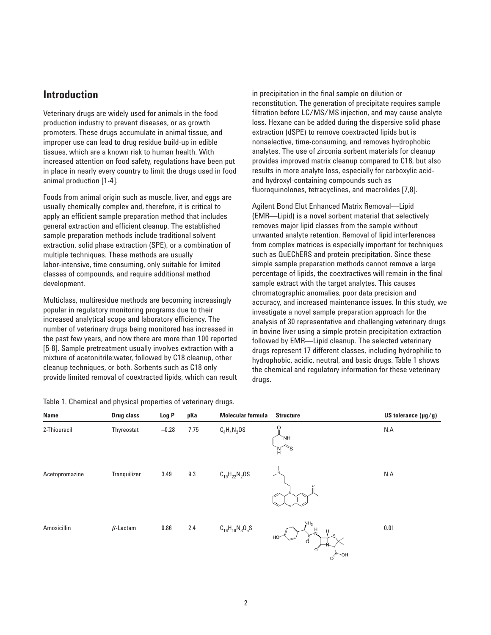## **Introduction**

Veterinary drugs are widely used for animals in the food production industry to prevent diseases, or as growth promoters. These drugs accumulate in animal tissue, and improper use can lead to drug residue build-up in edible tissues, which are a known risk to human health. With increased attention on food safety, regulations have been put in place in nearly every country to limit the drugs used in food animal production [1-4].

Foods from animal origin such as muscle, liver, and eggs are usually chemically complex and, therefore, it is critical to apply an efficient sample preparation method that includes general extraction and efficient cleanup. The established sample preparation methods include traditional solvent extraction, solid phase extraction (SPE), or a combination of multiple techniques. These methods are usually labor-intensive, time consuming, only suitable for limited classes of compounds, and require additional method development.

Multiclass, multiresidue methods are becoming increasingly popular in regulatory monitoring programs due to their increased analytical scope and laboratory efficiency. The number of veterinary drugs being monitored has increased in the past few years, and now there are more than 100 reported [5-8]. Sample pretreatment usually involves extraction with a mixture of acetonitrile:water, followed by C18 cleanup, other cleanup techniques, or both. Sorbents such as C18 only provide limited removal of coextracted lipids, which can result

Table 1. Chemical and physical properties of veterinary drugs.

in precipitation in the final sample on dilution or reconstitution. The generation of precipitate requires sample filtration before LC/MS/MS injection, and may cause analyte loss. Hexane can be added during the dispersive solid phase extraction (dSPE) to remove coextracted lipids but is nonselective, time-consuming, and removes hydrophobic analytes. The use of zirconia sorbent materials for cleanup provides improved matrix cleanup compared to C18, but also results in more analyte loss, especially for carboxylic acidand hydroxyl-containing compounds such as fluoroquinolones, tetracyclines, and macrolides [7,8].

Agilent Bond Elut Enhanced Matrix Removal—Lipid (EMR—Lipid) is a novel sorbent material that selectively removes major lipid classes from the sample without unwanted analyte retention. Removal of lipid interferences from complex matrices is especially important for techniques such as QuEChERS and protein precipitation. Since these simple sample preparation methods cannot remove a large percentage of lipids, the coextractives will remain in the final sample extract with the target analytes. This causes chromatographic anomalies, poor data precision and accuracy, and increased maintenance issues. In this study, we investigate a novel sample preparation approach for the analysis of 30 representative and challenging veterinary drugs in bovine liver using a simple protein precipitation extraction followed by EMR—Lipid cleanup. The selected veterinary drugs represent 17 different classes, including hydrophilic to hydrophobic, acidic, neutral, and basic drugs. Table 1 shows the chemical and regulatory information for these veterinary drugs.

| Name           | Drug class      | Log P   | pKa  | <b>Molecular formula</b> | <b>Structure</b>                                | US tolerance $(\mu g/g)$ |
|----------------|-----------------|---------|------|--------------------------|-------------------------------------------------|--------------------------|
| 2-Thiouracil   | Thyreostat      | $-0.28$ | 7.75 | $C_4H_4N_2OS$            | $\circ$<br>.NH<br>$\mathbb{S}^<$<br>И,          | N.A                      |
| Acetopromazine | Tranquilizer    | 3.49    | 9.3  | $C_{19}H_{22}N_2OS$      | $\Omega$                                        | N.A                      |
| Amoxicillin    | $\beta$ -Lactam | 0.86    | 2.4  | $C_{16}H_{19}N_3O_5S$    | NH <sub>2</sub><br>Н<br>н<br>HO<br>Ő<br>OH<br>O | 0.01                     |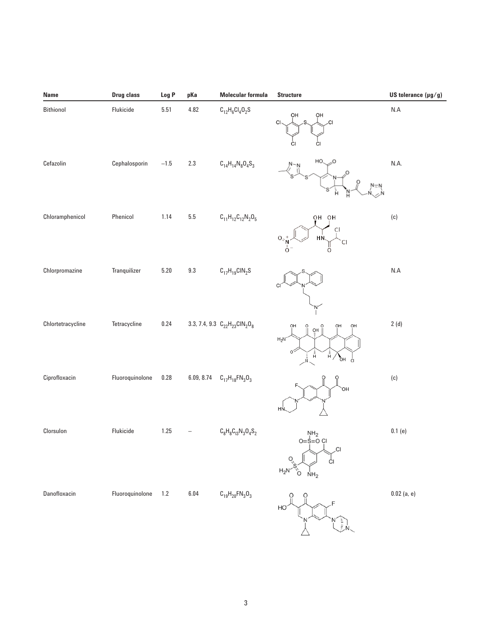| Name              | Drug class      | Log P    | pKa        | <b>Molecular formula</b>             | <b>Structure</b>                                                                     | US tolerance $(\mu g/g)$ |
|-------------------|-----------------|----------|------------|--------------------------------------|--------------------------------------------------------------------------------------|--------------------------|
| Bithionol         | Flukicide       | $5.51\,$ | 4.82       | $C_{12}H_6Cl_4O_2S$                  | OH<br>OH<br>.cı<br>CI<br>СI                                                          | N.A                      |
| Cefazolin         | Cephalosporin   | $-1.5$   | $2.3\,$    | $C_{14}H_{14}N_8O_4S_3$              | HO.<br>'nΝ                                                                           | N.A.                     |
| Chloramphenicol   | Phenicol        | 1.14     | $\bf 5.5$  | $C_{11}H_{12}C_{12}N_2O_5$           | OH OH<br>CI<br>HŃ.<br>0,<br>$\overline{C}$<br>$\Omega$                               | (c)                      |
| Chlorpromazine    | Tranquilizer    | $5.20\,$ | $9.3\,$    | $C_{17}H_{19}CIN_2S$                 | CI                                                                                   | $\sf N.A$                |
| Chlortetracycline | Tetracycline    | $0.24\,$ |            | 3.3, 7.4, 9.3 $C_{22}H_{23}CIN_2O_8$ | OH<br>OH<br>OH<br>O<br>O<br>액<br>$\rm H_2N$<br>$\frac{1}{H}$<br>Å,<br>á,<br>ъH<br>ĊI | 2(d)                     |
| Ciprofloxacin     | Fluoroquinolone | 0.28     | 6.09, 8.74 | $C_{17}H_{18}FN_{3}O_{3}$            | `OH<br>HŃ                                                                            | (c)                      |
| Clorsulon         | Flukicide       | $1.25$   |            | $C_8H_8C_{13}N_3O_4S_2$              | $M_{2}$<br>$O=\frac{1}{2}$<br>$O=O(1)$<br>$\sim$<br>$N_{\rm H_2}$                    | $0.1$ (e)                |
| Danofloxacin      | Fluoroquinolone | $1.2\,$  | $6.04\,$   | $C_{19}H_{20}FN_{3}O_{3}$            | HO                                                                                   | $0.02$ (a, e)            |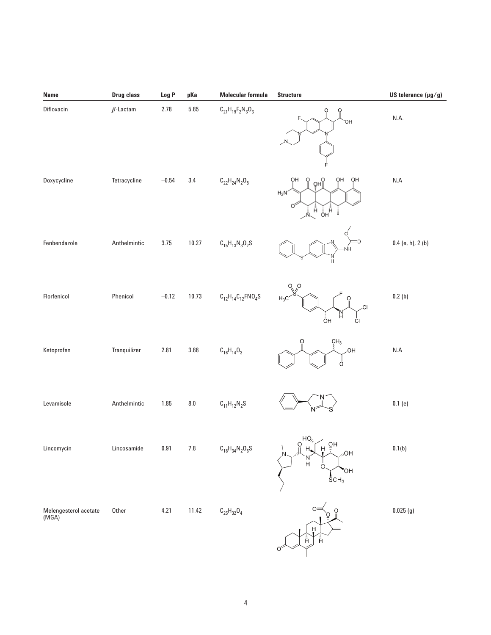| Name                           | <b>Drug class</b> | Log P    | pKa                | <b>Molecular formula</b>                                      | <b>Structure</b>                                                                                                                                                                                                                                                                               | US tolerance $(\mu g/g)$ |
|--------------------------------|-------------------|----------|--------------------|---------------------------------------------------------------|------------------------------------------------------------------------------------------------------------------------------------------------------------------------------------------------------------------------------------------------------------------------------------------------|--------------------------|
| Difloxacin                     | $\beta$ -Lactam   | 2.78     | $5.85\,$           | $C_{21}H_{19}F_{2}N_{3}O_{3}$                                 | $\frac{0}{\pi}$<br>O<br>OH                                                                                                                                                                                                                                                                     | N.A.                     |
| Doxycycline                    | Tetracycline      | $-0.54$  | $3.4\,$            | $\text{C}_{22}\text{H}_{24}\text{N}_2\text{O}_8$              | ÓН<br>OH<br>OH<br>Ö<br>o<br>∬Hڥ<br>$H_2N$<br>À,<br>Ăн<br>Ан<br>İ                                                                                                                                                                                                                               | $N.A$                    |
| Fenbendazole                   | Anthelmintic      | 3.75     | 10.27              | $C_{15}H_{13}N_3O_2S$                                         | Н                                                                                                                                                                                                                                                                                              | $0.4$ (e, h), 2 (b)      |
| Florfenicol                    | Phenicol          | $-0.12$  | 10.73              | $\text{C}_{12}\text{H}_{14}\text{C}_{12}\text{FNO}_4\text{S}$ | $H_3C$<br>.CI<br>н<br>åн<br>ĊI                                                                                                                                                                                                                                                                 | 0.2(b)                   |
| Ketoprofen                     | Tranquilizer      | 2.81     | $3.88\,$           | $C_{16}H_{14}O_3$                                             | ÇΗ <sub>3</sub><br>OH.<br>Ö                                                                                                                                                                                                                                                                    | $\sf{N.A}$               |
| Levamisole                     | Anthelmintic      | 1.85     | $\boldsymbol{8.0}$ | $C_{11}H_{12}N_2S$                                            |                                                                                                                                                                                                                                                                                                | 0.1(e)                   |
| Lincomycin                     | Lincosamide       | $0.91\,$ | $7.8\,$            | $\text{C}_{18}\text{H}_{34}\text{N}_2\text{O}_6\text{S}$      | $\begin{array}{c}\n\bigcap_{H_1 \cup H_2} H_1 \cup \bigcup_{H_1 \cup H_2} H_2 \cup \bigcup_{H_1} H_2 \cup \bigcup_{H_1} H_2 \cup \bigcup_{H_1} H_2 \cup \bigcup_{H_1} H_3 \cup \bigcup_{H_2} H_4 \end{array}$<br>$\sqrt{2}$<br>$HO_{\ell_{\ell_{\ell}}}$<br>'N<br>H<br>'OH<br>SCH <sub>3</sub> | 0.1(b)                   |
| Melengesterol acetate<br>(MGA) | Other             | 4.21     | 11.42              | $\text{C}_{25}\text{H}_{32}\text{O}_4$                        | $O=$<br>O<br>Ĥ<br>$\hat{\bar{\mathsf{H}}}$<br>Ê<br>Ő                                                                                                                                                                                                                                           | 0.025(g)                 |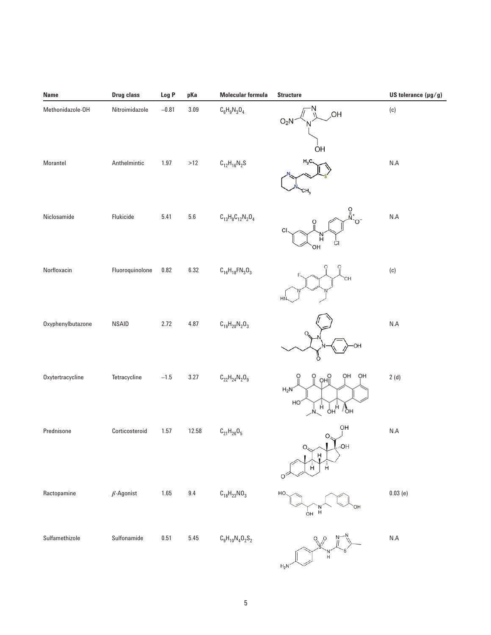| Name              | Drug class       | Log P    | pKa      | <b>Molecular formula</b>  | <b>Structure</b>                                                   | US tolerance $(\mu g/g)$ |
|-------------------|------------------|----------|----------|---------------------------|--------------------------------------------------------------------|--------------------------|
| Methonidazole-OH  | Nitroimidazole   | $-0.81$  | 3.09     | $C_6H_9N_3O_4$            | ,OH<br>O <sub>2</sub> N<br>ÒН                                      | (c)                      |
| Morantel          | Anthelmintic     | $1.97$   | $>12$    | $C_{12}H_{16}N_2S$        | $H_3C$                                                             | $\sf N.A$                |
| Niclosamide       | Flukicide        | 5.41     | $5.6\,$  | $C_{13}H_8C_{12}N_2O_4$   | $\frac{1}{2}$ $\frac{1}{2}$<br>С<br>N.<br>H<br>СI<br>OН            | N.A                      |
| Norfloxacin       | Fluoroquinolone  | 0.82     | 6.32     | $C_{16}H_{18}FN_{3}O_{3}$ | ΟН<br>HI                                                           | (c)                      |
| Oxyphenylbutazone | <b>NSAID</b>     | 2.72     | 4.87     | $C_{19}H_{20}N_{2}O_{3}$  | ΟН                                                                 | N.A                      |
| Oxytertracycline  | Tetracycline     | $-1.5$   | 3.27     | $C_{22}H_{24}N_{2}O_{9}$  | OН<br>ÓН<br>OHI<br>$H_2N$<br>HC<br>Å<br>Ŏн<br>Ч<br>$\eta_{\rm OH}$ | 2(d)                     |
| Prednisone        | Corticosteroid   | 1.57     | 12.58    | $C_{21}H_{26}O_5$         | OH<br>HO <sub>1</sub><br>O,<br>Ĥ<br>Ĥ.<br>Ĥ                        | $\mathsf{N}.\mathsf{A}$  |
| Ractopamine       | $\beta$ -Agonist | $1.65$   | $9.4\,$  | $C_{18}H_{23}NO_3$        | HO<br>H<br>ÓН                                                      | 0.03(e)                  |
| Sulfamethizole    | Sulfonamide      | $0.51\,$ | $5.45\,$ | $C_9H_{10}N_4O_2S_2$      | 'N'<br>H<br>$H_2N$                                                 | $\sf N.A$                |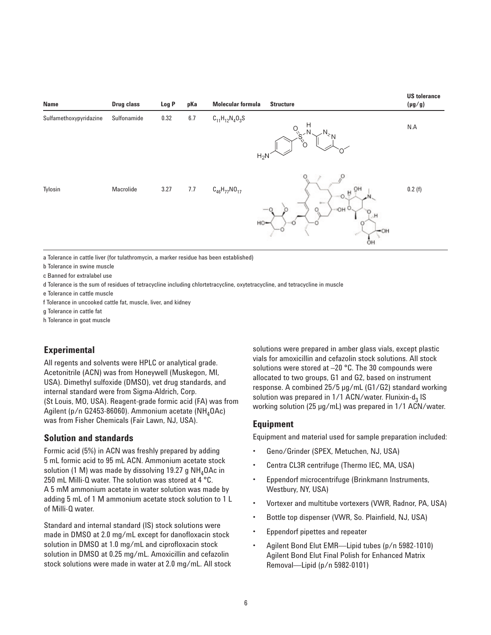

a Tolerance in cattle liver (for tulathromycin, a marker residue has been established)

b Tolerance in swine muscle

c Banned for extralabel use

d Tolerance is the sum of residues of tetracycline including chlortetracycline, oxytetracycline, and tetracycline in muscle

e Tolerance in cattle muscle

f Tolerance in uncooked cattle fat, muscle, liver, and kidney

g Tolerance in cattle fat

h Tolerance in goat muscle

### **Experimental**

All regents and solvents were HPLC or analytical grade. Acetonitrile (ACN) was from Honeywell (Muskegon, MI, USA). Dimethyl sulfoxide (DMSO), vet drug standards, and internal standard were from Sigma-Aldrich, Corp. (St Louis, MO, USA). Reagent-grade formic acid (FA) was from Agilent (p/n G2453-86060). Ammonium acetate ( $NH_4OAC$ ) was from Fisher Chemicals (Fair Lawn, NJ, USA).

#### **Solution and standards**

Formic acid (5%) in ACN was freshly prepared by adding 5 mL formic acid to 95 mL ACN. Ammonium acetate stock solution (1 M) was made by dissolving 19.27 g  $NH<sub>a</sub>OAc$  in 250 mL Milli-Q water. The solution was stored at 4 °C. A 5 mM ammonium acetate in water solution was made by adding 5 mL of 1 M ammonium acetate stock solution to 1 L of Milli-Q water.

Standard and internal standard (IS) stock solutions were made in DMSO at 2.0 mg/mL except for danofloxacin stock solution in DMSO at 1.0 mg/mL and ciprofloxacin stock solution in DMSO at 0.25 mg/mL. Amoxicillin and cefazolin stock solutions were made in water at 2.0 mg/mL. All stock solutions were prepared in amber glass vials, except plastic vials for amoxicillin and cefazolin stock solutions. All stock solutions were stored at –20 °C. The 30 compounds were allocated to two groups, G1 and G2, based on instrument response. A combined 25/5 µg/mL (G1/G2) standard working solution was prepared in  $1/1$  ACN/water. Flunixin-d<sub>3</sub> IS working solution (25 µg/mL) was prepared in 1/1 ACN/water.

#### **Equipment**

Equipment and material used for sample preparation included:

- Geno/Grinder (SPEX, Metuchen, NJ, USA)
- Centra CL3R centrifuge (Thermo IEC, MA, USA)
- Eppendorf microcentrifuge (Brinkmann Instruments, Westbury, NY, USA)
- Vortexer and multitube vortexers (VWR, Radnor, PA, USA)
- Bottle top dispenser (VWR, So. Plainfield, NJ, USA)
- Eppendorf pipettes and repeater
- Agilent Bond Elut EMR—Lipid tubes (p/n 5982-1010) Agilent Bond Elut Final Polish for Enhanced Matrix Removal—Lipid (p/n 5982-0101)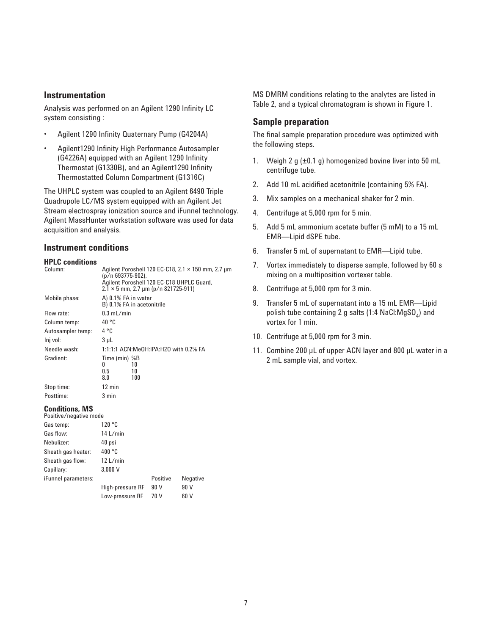#### **Instrumentation**

Analysis was performed on an Agilent 1290 Infinity LC system consisting :

- Agilent 1290 Infinity Quaternary Pump (G4204A)
- Agilent1290 Infinity High Performance Autosampler (G4226A) equipped with an Agilent 1290 Infinity Thermostat (G1330B), and an Agilent1290 Infinity Thermostatted Column Compartment (G1316C)

The UHPLC system was coupled to an Agilent 6490 Triple Quadrupole LC/MS system equipped with an Agilent Jet Stream electrospray ionization source and iFunnel technology. Agilent MassHunter workstation software was used for data acquisition and analysis.

#### **Instrument conditions**

| <b>HPLC</b> conditions |                                                                                                                                                                    |  |  |  |  |  |  |
|------------------------|--------------------------------------------------------------------------------------------------------------------------------------------------------------------|--|--|--|--|--|--|
| Column:                | Agilent Poroshell 120 EC-C18, 2.1 × 150 mm, 2.7 µm<br>(p/n 693775-902),<br>Agilent Poroshell 120 EC-C18 UHPLC Guard,<br>$2.1 \times 5$ mm, 2.7 µm (p/n 821725-911) |  |  |  |  |  |  |
| Mobile phase:          | A) 0.1% FA in water<br>B) 0.1% FA in acetonitrile                                                                                                                  |  |  |  |  |  |  |
| Flow rate:             | $0.3$ mL/min                                                                                                                                                       |  |  |  |  |  |  |
| Column temp:           | 40 °C                                                                                                                                                              |  |  |  |  |  |  |
| Autosampler temp:      | 4 °C                                                                                                                                                               |  |  |  |  |  |  |
| lnj vol:               | 3 µL                                                                                                                                                               |  |  |  |  |  |  |
| Needle wash:           | 1:1:1:1 ACN:MeOH:IPA:H2O with 0.2% FA                                                                                                                              |  |  |  |  |  |  |
| Gradient:              | Time (min) %B<br>10<br>O<br>0.5<br>10<br>100<br>8.0                                                                                                                |  |  |  |  |  |  |
| Stop time:             | $12 \text{ min}$                                                                                                                                                   |  |  |  |  |  |  |
| Posttime:              | 3 min                                                                                                                                                              |  |  |  |  |  |  |
| Conditions MS          |                                                                                                                                                                    |  |  |  |  |  |  |

#### **Conditions, MS**

| Positive/negative mode     |                  |          |                 |
|----------------------------|------------------|----------|-----------------|
| Gas temp:                  | 120 °C           |          |                 |
| Gas flow:                  | 14 L/min         |          |                 |
| Nebulizer:                 | 40 psi           |          |                 |
| Sheath gas heater:         | 400 °C           |          |                 |
| Sheath gas flow:           | 12 L/min         |          |                 |
| Capillary:                 | 3.000V           |          |                 |
| <i>iFunnel parameters:</i> |                  | Positive | <b>Negative</b> |
|                            | High-pressure RF | 90 V     | 90 V            |
|                            | Low-pressure RF  | 70 V     | 60 V            |
|                            |                  |          |                 |

MS DMRM conditions relating to the analytes are listed in Table 2, and a typical chromatogram is shown in Figure 1.

#### **Sample preparation**

The final sample preparation procedure was optimized with the following steps.

- 1. Weigh 2 g  $(\pm 0.1 \text{ g})$  homogenized bovine liver into 50 mL centrifuge tube.
- 2. Add 10 mL acidified acetonitrile (containing 5% FA).
- 3. Mix samples on a mechanical shaker for 2 min.
- 4. Centrifuge at 5,000 rpm for 5 min.
- 5. Add 5 mL ammonium acetate buffer (5 mM) to a 15 mL EMR—Lipid dSPE tube.
- 6. Transfer 5 mL of supernatant to EMR—Lipid tube.
- 7. Vortex immediately to disperse sample, followed by 60 s mixing on a multiposition vortexer table.
- 8. Centrifuge at 5,000 rpm for 3 min.
- 9. Transfer 5 mL of supernatant into a 15 mL EMR—Lipid polish tube containing 2 g salts (1:4  $NaCl:MgSO<sub>A</sub>$ ) and vortex for 1 min.
- 10. Centrifuge at 5,000 rpm for 3 min.
- 11. Combine 200 µL of upper ACN layer and 800 µL water in a 2 mL sample vial, and vortex.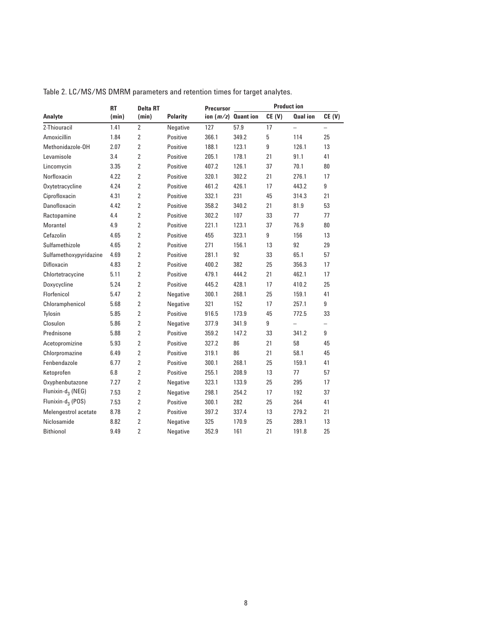|                               | <b>RT</b> | <b>Delta RT</b> |                 |       | <b>Product ion</b>    |       |                          |                          |  |  |
|-------------------------------|-----------|-----------------|-----------------|-------|-----------------------|-------|--------------------------|--------------------------|--|--|
| Analyte                       | (min)     | (min)           | <b>Polarity</b> |       | ion $(m/z)$ Quant ion | CE(V) | <b>Qual ion</b>          | CE(V)                    |  |  |
| 2-Thiouracil                  | 1.41      | $\overline{2}$  | Negative        | 127   | 57.9                  | 17    | $\overline{\phantom{0}}$ |                          |  |  |
| Amoxicillin                   | 1.84      | $\overline{2}$  | Positive        | 366.1 | 349.2                 | 5     | 114                      | 25                       |  |  |
| Methonidazole-OH              | 2.07      | $\overline{2}$  | Positive        | 188.1 | 123.1                 | 9     | 126.1                    | 13                       |  |  |
| Levamisole                    | 3.4       | $\overline{2}$  | Positive        | 205.1 | 178.1                 | 21    | 91.1                     | 41                       |  |  |
| Lincomycin                    | 3.35      | $\overline{2}$  | Positive        | 407.2 | 126.1                 | 37    | 70.1                     | 80                       |  |  |
| Norfloxacin                   | 4.22      | $\overline{2}$  | Positive        | 320.1 | 302.2                 | 21    | 276.1                    | 17                       |  |  |
| Oxytetracycline               | 4.24      | $\overline{2}$  | Positive        | 461.2 | 426.1                 | 17    | 443.2                    | 9                        |  |  |
| Ciprofloxacin                 | 4.31      | $\overline{2}$  | Positive        | 332.1 | 231                   | 45    | 314.3                    | 21                       |  |  |
| Danofloxacin                  | 4.42      | $\overline{2}$  | Positive        | 358.2 | 340.2                 | 21    | 81.9                     | 53                       |  |  |
| Ractopamine                   | 4.4       | $\overline{2}$  | Positive        | 302.2 | 107                   | 33    | 77                       | 77                       |  |  |
| Morantel                      | 4.9       | $\overline{2}$  | Positive        | 221.1 | 123.1                 | 37    | 76.9                     | 80                       |  |  |
| Cefazolin                     | 4.65      | 2               | Positive        | 455   | 323.1                 | 9     | 156                      | 13                       |  |  |
| Sulfamethizole                | 4.65      | $\overline{2}$  | Positive        | 271   | 156.1                 | 13    | 92                       | 29                       |  |  |
| Sulfamethoxypyridazine        | 4.69      | $\overline{2}$  | Positive        | 281.1 | 92                    | 33    | 65.1                     | 57                       |  |  |
| Difloxacin                    | 4.83      | $\overline{2}$  | Positive        | 400.2 | 382                   | 25    | 356.3                    | 17                       |  |  |
| Chlortetracycine              | 5.11      | $\overline{2}$  | Positive        | 479.1 | 444.2                 | 21    | 462.1                    | 17                       |  |  |
| Doxycycline                   | 5.24      | 2               | Positive        | 445.2 | 428.1                 | 17    | 410.2                    | 25                       |  |  |
| Florfenicol                   | 5.47      | $\overline{2}$  | Negative        | 300.1 | 268.1                 | 25    | 159.1                    | 41                       |  |  |
| Chloramphenicol               | 5.68      | $\overline{2}$  | Negative        | 321   | 152                   | 17    | 257.1                    | 9                        |  |  |
| Tylosin                       | 5.85      | $\overline{2}$  | Positive        | 916.5 | 173.9                 | 45    | 772.5                    | 33                       |  |  |
| Closulon                      | 5.86      | $\overline{2}$  | Negative        | 377.9 | 341.9                 | 9     | $\overline{\phantom{0}}$ | $\overline{\phantom{0}}$ |  |  |
| Prednisone                    | 5.88      | $\overline{2}$  | Positive        | 359.2 | 147.2                 | 33    | 341.2                    | 9                        |  |  |
| Acetopromizine                | 5.93      | $\overline{2}$  | Positive        | 327.2 | 86                    | 21    | 58                       | 45                       |  |  |
| Chlorpromazine                | 6.49      | 2               | Positive        | 319.1 | 86                    | 21    | 58.1                     | 45                       |  |  |
| Fenbendazole                  | 6.77      | $\overline{2}$  | Positive        | 300.1 | 268.1                 | 25    | 159.1                    | 41                       |  |  |
| Ketoprofen                    | 6.8       | $\overline{2}$  | Positive        | 255.1 | 208.9                 | 13    | 77                       | 57                       |  |  |
| Oxyphenbutazone               | 7.27      | $\overline{2}$  | Negative        | 323.1 | 133.9                 | 25    | 295                      | 17                       |  |  |
| Flunixin-d <sub>3</sub> (NEG) | 7.53      | $\overline{2}$  | Negative        | 298.1 | 254.2                 | 17    | 192                      | 37                       |  |  |
| Flunixin-d <sub>3</sub> (POS) | 7.53      | $\overline{2}$  | Positive        | 300.1 | 282                   | 25    | 264                      | 41                       |  |  |
| Melengestrol acetate          | 8.78      | $\overline{2}$  | Positive        | 397.2 | 337.4                 | 13    | 279.2                    | 21                       |  |  |
| Niclosamide                   | 8.82      | $\overline{2}$  | Negative        | 325   | 170.9                 | 25    | 289.1                    | 13                       |  |  |
| <b>Bithionol</b>              | 9.49      | $\overline{2}$  | Negative        | 352.9 | 161                   | 21    | 191.8                    | 25                       |  |  |

Table 2. LC/MS/MS DMRM parameters and retention times for target analytes.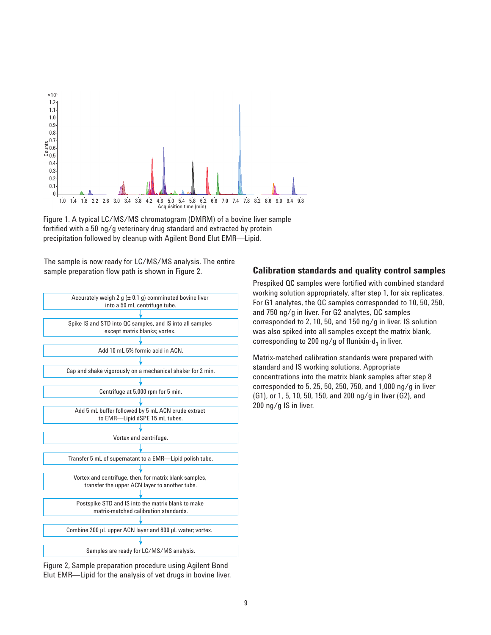

Figure 1. A typical LC/MS/MS chromatogram (DMRM) of a bovine liver sample fortified with a 50 ng/g veterinary drug standard and extracted by protein precipitation followed by cleanup with Agilent Bond Elut EMR—Lipid.

The sample is now ready for LC/MS/MS analysis. The entire



Figure 2, Sample preparation procedure using Agilent Bond Elut EMR—Lipid for the analysis of vet drugs in bovine liver.

#### sample preparation flow path is shown in Figure 2. **Calibration standards and quality control samples**

Prespiked QC samples were fortified with combined standard working solution appropriately, after step 1, for six replicates. For G1 analytes, the QC samples corresponded to 10, 50, 250, and 750 ng/g in liver. For G2 analytes, QC samples corresponded to 2, 10, 50, and 150 ng/g in liver. IS solution was also spiked into all samples except the matrix blank, corresponding to 200 ng/g of flunixin-d<sub>3</sub> in liver.

Matrix-matched calibration standards were prepared with standard and IS working solutions. Appropriate concentrations into the matrix blank samples after step 8 corresponded to 5, 25, 50, 250, 750, and 1,000 ng/g in liver (G1), or 1, 5, 10, 50, 150, and 200 ng/g in liver (G2), and 200 ng/g IS in liver.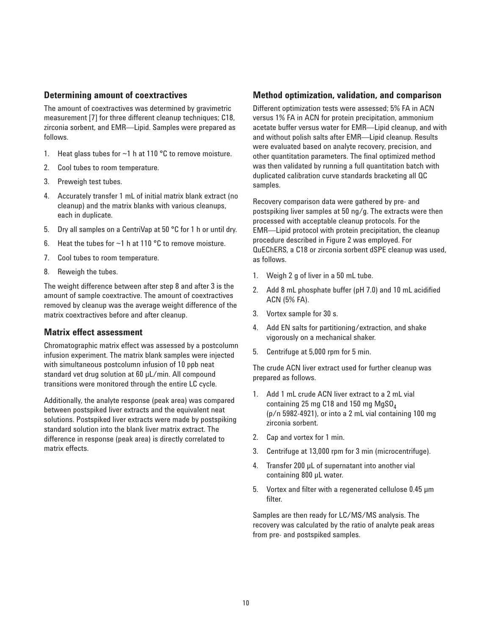#### **Determining amount of coextractives**

The amount of coextractives was determined by gravimetric measurement [7] for three different cleanup techniques; C18, zirconia sorbent, and EMR—Lipid. Samples were prepared as follows.

- 1. Heat glass tubes for  $\sim$ 1 h at 110 °C to remove moisture.
- 2. Cool tubes to room temperature.
- 3. Preweigh test tubes.
- 4. Accurately transfer 1 mL of initial matrix blank extract (no cleanup) and the matrix blanks with various cleanups, each in duplicate.
- 5. Dry all samples on a CentriVap at 50 °C for 1 h or until dry.
- 6. Heat the tubes for  $\sim$ 1 h at 110 °C to remove moisture.
- 7. Cool tubes to room temperature.
- 8. Reweigh the tubes.

The weight difference between after step 8 and after 3 is the amount of sample coextractive. The amount of coextractives removed by cleanup was the average weight difference of the matrix coextractives before and after cleanup.

#### **Matrix effect assessment**

Chromatographic matrix effect was assessed by a postcolumn infusion experiment. The matrix blank samples were injected with simultaneous postcolumn infusion of 10 ppb neat standard vet drug solution at 60 µL/min. All compound transitions were monitored through the entire LC cycle.

Additionally, the analyte response (peak area) was compared between postspiked liver extracts and the equivalent neat solutions. Postspiked liver extracts were made by postspiking standard solution into the blank liver matrix extract. The difference in response (peak area) is directly correlated to matrix effects.

#### **Method optimization, validation, and comparison**

Different optimization tests were assessed; 5% FA in ACN versus 1% FA in ACN for protein precipitation, ammonium acetate buffer versus water for EMR—Lipid cleanup, and with and without polish salts after EMR—Lipid cleanup. Results were evaluated based on analyte recovery, precision, and other quantitation parameters. The final optimized method was then validated by running a full quantitation batch with duplicated calibration curve standards bracketing all QC samples.

Recovery comparison data were gathered by pre- and postspiking liver samples at 50 ng/g. The extracts were then processed with acceptable cleanup protocols. For the EMR—Lipid protocol with protein precipitation, the cleanup procedure described in Figure 2 was employed. For QuEChERS, a C18 or zirconia sorbent dSPE cleanup was used, as follows.

- 1. Weigh 2 g of liver in a 50 mL tube.
- 2. Add 8 mL phosphate buffer (pH 7.0) and 10 mL acidified ACN (5% FA).
- 3. Vortex sample for 30 s.
- 4. Add EN salts for partitioning/extraction, and shake vigorously on a mechanical shaker.
- 5. Centrifuge at 5,000 rpm for 5 min.

The crude ACN liver extract used for further cleanup was prepared as follows.

- 1. Add 1 mL crude ACN liver extract to a 2 mL vial containing 25 mg  $C18$  and 150 mg  $MgSO<sub>4</sub>$ (p/n 5982-4921), or into a 2 mL vial containing 100 mg zirconia sorbent.
- 2. Cap and vortex for 1 min.
- 3. Centrifuge at 13,000 rpm for 3 min (microcentrifuge).
- 4. Transfer 200 µL of supernatant into another vial containing 800 µL water.
- 5. Vortex and filter with a regenerated cellulose 0.45 µm filter.

Samples are then ready for LC/MS/MS analysis. The recovery was calculated by the ratio of analyte peak areas from pre- and postspiked samples.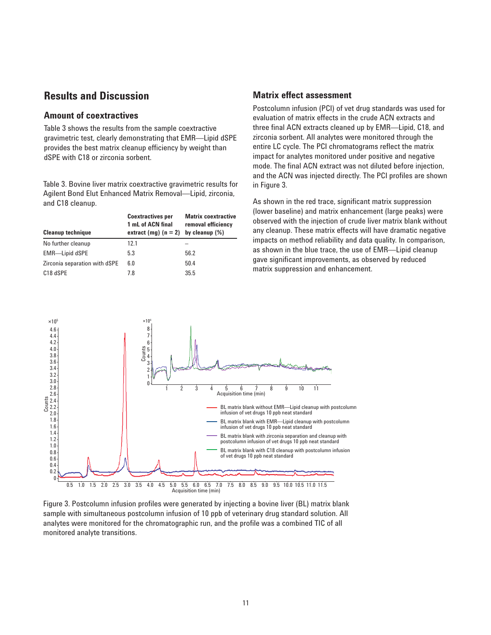## **Results and Discussion**

#### **Amount of coextractives**

Table 3 shows the results from the sample coextractive gravimetric test, clearly demonstrating that EMR—Lipid dSPE provides the best matrix cleanup efficiency by weight than dSPE with C18 or zirconia sorbent.

Table 3. Bovine liver matrix coextractive gravimetric results for Agilent Bond Elut Enhanced Matrix Removal—Lipid, zirconia, and C18 cleanup.

| <b>Cleanup technique</b>      | <b>Coextractives per</b><br>1 mL of ACN final<br>extract (mg) $(n = 2)$ by cleanup $(\%)$ | <b>Matrix coextractive</b><br>removal efficiency |
|-------------------------------|-------------------------------------------------------------------------------------------|--------------------------------------------------|
| No further cleanup            | 12.1                                                                                      |                                                  |
| <b>EMR-Lipid dSPE</b>         | 5.3                                                                                       | 56.2                                             |
| Zirconia separation with dSPE | 6.0                                                                                       | 50.4                                             |
| C18 dSPE                      | 7.8                                                                                       | 35.5                                             |

#### **Matrix effect assessment**

Postcolumn infusion (PCI) of vet drug standards was used for evaluation of matrix effects in the crude ACN extracts and three final ACN extracts cleaned up by EMR—Lipid, C18, and zirconia sorbent. All analytes were monitored through the entire LC cycle. The PCI chromatograms reflect the matrix impact for analytes monitored under positive and negative mode. The final ACN extract was not diluted before injection, and the ACN was injected directly. The PCI profiles are shown in Figure 3.

As shown in the red trace, significant matrix suppression (lower baseline) and matrix enhancement (large peaks) were observed with the injection of crude liver matrix blank without any cleanup. These matrix effects will have dramatic negative impacts on method reliability and data quality. In comparison, as shown in the blue trace, the use of EMR—Lipid cleanup gave significant improvements, as observed by reduced matrix suppression and enhancement.



Figure 3. Postcolumn infusion profiles were generated by injecting a bovine liver (BL) matrix blank sample with simultaneous postcolumn infusion of 10 ppb of veterinary drug standard solution. All analytes were monitored for the chromatographic run, and the profile was a combined TIC of all monitored analyte transitions.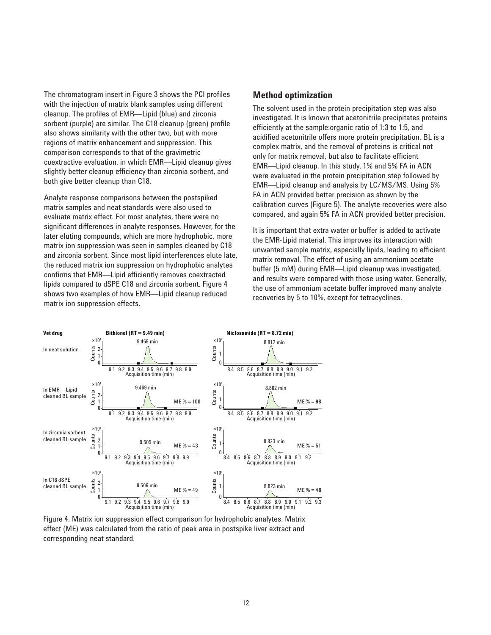The chromatogram insert in Figure 3 shows the PCI profiles with the injection of matrix blank samples using different cleanup. The profiles of EMR—Lipid (blue) and zirconia sorbent (purple) are similar. The C18 cleanup (green) profile also shows similarity with the other two, but with more regions of matrix enhancement and suppression. This comparison corresponds to that of the gravimetric coextractive evaluation, in which EMR—Lipid cleanup gives slightly better cleanup efficiency than zirconia sorbent, and both give better cleanup than C18.

Analyte response comparisons between the postspiked matrix samples and neat standards were also used to evaluate matrix effect. For most analytes, there were no significant differences in analyte responses. However, for the later eluting compounds, which are more hydrophobic, more matrix ion suppression was seen in samples cleaned by C18 and zirconia sorbent. Since most lipid interferences elute late, the reduced matrix ion suppression on hydrophobic analytes confirms that EMR—Lipid efficiently removes coextracted lipids compared to dSPE C18 and zirconia sorbent. Figure 4 shows two examples of how EMR—Lipid cleanup reduced matrix ion suppression effects.

#### **Method optimization**

The solvent used in the protein precipitation step was also investigated. It is known that acetonitrile precipitates proteins efficiently at the sample:organic ratio of 1:3 to 1:5, and acidified acetonitrile offers more protein precipitation. BL is a complex matrix, and the removal of proteins is critical not only for matrix removal, but also to facilitate efficient EMR—Lipid cleanup. In this study, 1% and 5% FA in ACN were evaluated in the protein precipitation step followed by EMR—Lipid cleanup and analysis by LC/MS/MS. Using 5% FA in ACN provided better precision as shown by the calibration curves (Figure 5). The analyte recoveries were also compared, and again 5% FA in ACN provided better precision.

It is important that extra water or buffer is added to activate the EMR-Lipid material. This improves its interaction with unwanted sample matrix, especially lipids, leading to efficient matrix removal. The effect of using an ammonium acetate buffer (5 mM) during EMR—Lipid cleanup was investigated, and results were compared with those using water. Generally, the use of ammonium acetate buffer improved many analyte recoveries by 5 to 10%, except for tetracyclines.



Figure 4. Matrix ion suppression effect comparison for hydrophobic analytes. Matrix effect (ME) was calculated from the ratio of peak area in postspike liver extract and corresponding neat standard.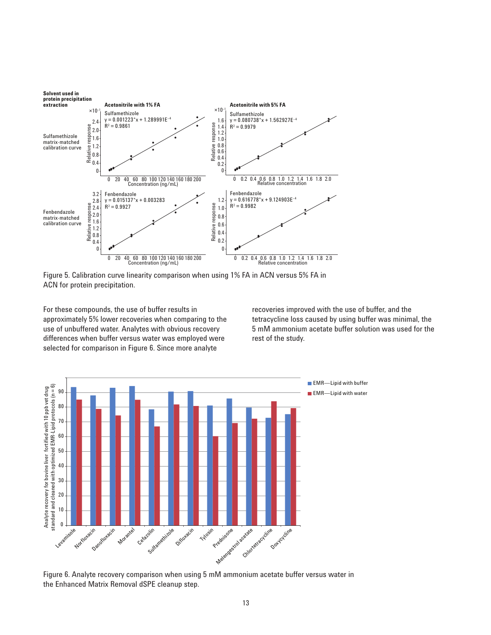

Figure 5. Calibration curve linearity comparison when using 1% FA in ACN versus 5% FA in ACN for protein precipitation.

For these compounds, the use of buffer results in approximately 5% lower recoveries when comparing to the use of unbuffered water. Analytes with obvious recovery differences when buffer versus water was employed were selected for comparison in Figure 6. Since more analyte

recoveries improved with the use of buffer, and the tetracycline loss caused by using buffer was minimal, the 5 mM ammonium acetate buffer solution was used for the rest of the study.



Figure 6. Analyte recovery comparison when using 5 mM ammonium acetate buffer versus water in the Enhanced Matrix Removal dSPE cleanup step.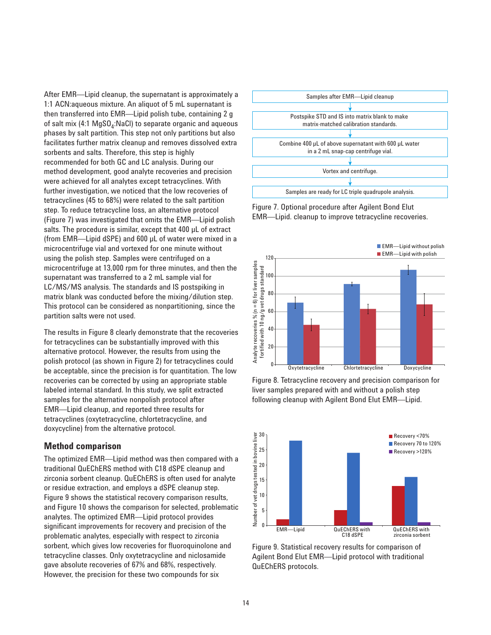After EMR—Lipid cleanup, the supernatant is approximately a 1:1 ACN:aqueous mixture. An aliquot of 5 mL supernatant is then transferred into EMR—Lipid polish tube, containing 2 g of salt mix (4:1 MgSO<sub>4</sub>:NaCl) to separate organic and aqueous phases by salt partition. This step not only partitions but also facilitates further matrix cleanup and removes dissolved extra sorbents and salts. Therefore, this step is highly recommended for both GC and LC analysis. During our method development, good analyte recoveries and precision were achieved for all analytes except tetracyclines. With further investigation, we noticed that the low recoveries of tetracyclines (45 to 68%) were related to the salt partition step. To reduce tetracycline loss, an alternative protocol (Figure 7) was investigated that omits the EMR—Lipid polish salts. The procedure is similar, except that 400 µL of extract (from EMR—Lipid dSPE) and 600 µL of water were mixed in a microcentrifuge vial and vortexed for one minute without using the polish step. Samples were centrifuged on a microcentrifuge at 13,000 rpm for three minutes, and then the supernatant was transferred to a 2 mL sample vial for LC/MS/MS analysis. The standards and IS postspiking in matrix blank was conducted before the mixing/dilution step. This protocol can be considered as nonpartitioning, since the partition salts were not used.

The results in Figure 8 clearly demonstrate that the recoveries for tetracyclines can be substantially improved with this alternative protocol. However, the results from using the polish protocol (as shown in Figure 2) for tetracyclines could be acceptable, since the precision is for quantitation. The low recoveries can be corrected by using an appropriate stable labeled internal standard. In this study, we split extracted samples for the alternative nonpolish protocol after EMR—Lipid cleanup, and reported three results for tetracyclines (oxytetracycline, chlortetracycline, and doxycycline) from the alternative protocol.

#### **Method comparison**

The optimized EMR—Lipid method was then compared with a traditional QuEChERS method with C18 dSPE cleanup and zirconia sorbent cleanup. QuEChERS is often used for analyte or residue extraction, and employs a dSPE cleanup step. Figure 9 shows the statistical recovery comparison results, and Figure 10 shows the comparison for selected, problematic analytes. The optimized EMR—Lipid protocol provides significant improvements for recovery and precision of the problematic analytes, especially with respect to zirconia sorbent, which gives low recoveries for fluoroquinolone and tetracycline classes. Only oxytetracycline and niclosamide gave absolute recoveries of 67% and 68%, respectively. However, the precision for these two compounds for six



Figure 7. Optional procedure after Agilent Bond Elut EMR—Lipid. cleanup to improve tetracycline recoveries.



Figure 8. Tetracycline recovery and precision comparison for liver samples prepared with and without a polish step following cleanup with Agilent Bond Elut EMR—Lipid.



Figure 9. Statistical recovery results for comparison of Agilent Bond Elut EMR—Lipid protocol with traditional QuEChERS protocols.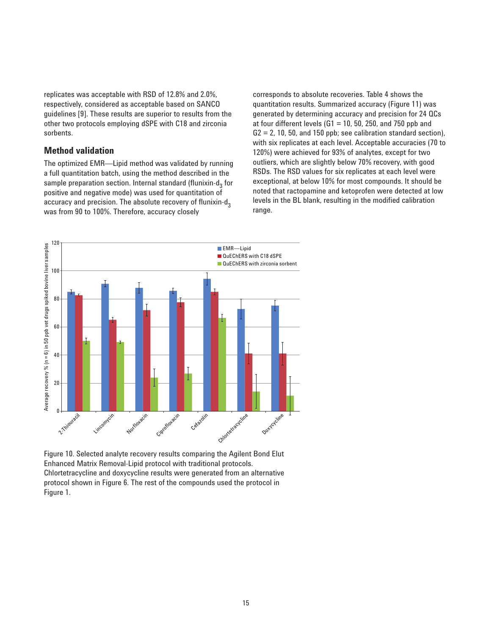replicates was acceptable with RSD of 12.8% and 2.0%, respectively, considered as acceptable based on SANCO guidelines [9]. These results are superior to results from the other two protocols employing dSPE with C18 and zirconia sorbents.

#### **Method validation**

The optimized EMR—Lipid method was validated by running a full quantitation batch, using the method described in the sample preparation section. Internal standard (flunixin-d<sub>2</sub> for positive and negative mode) was used for quantitation of accuracy and precision. The absolute recovery of flunixin-d<sub>3</sub> was from 90 to 100%. Therefore, accuracy closely

corresponds to absolute recoveries. Table 4 shows the quantitation results. Summarized accuracy (Figure 11) was generated by determining accuracy and precision for 24 QCs at four different levels ( $G1 = 10$ , 50, 250, and 750 ppb and  $G2 = 2$ , 10, 50, and 150 ppb; see calibration standard section), with six replicates at each level. Acceptable accuracies (70 to 120%) were achieved for 93% of analytes, except for two outliers, which are slightly below 70% recovery, with good RSDs. The RSD values for six replicates at each level were exceptional, at below 10% for most compounds. It should be noted that ractopamine and ketoprofen were detected at low levels in the BL blank, resulting in the modified calibration range.



Figure 10. Selected analyte recovery results comparing the Agilent Bond Elut Enhanced Matrix Removal-Lipid protocol with traditional protocols. Chlortetracycline and doxycycline results were generated from an alternative protocol shown in Figure 6. The rest of the compounds used the protocol in Figure 1.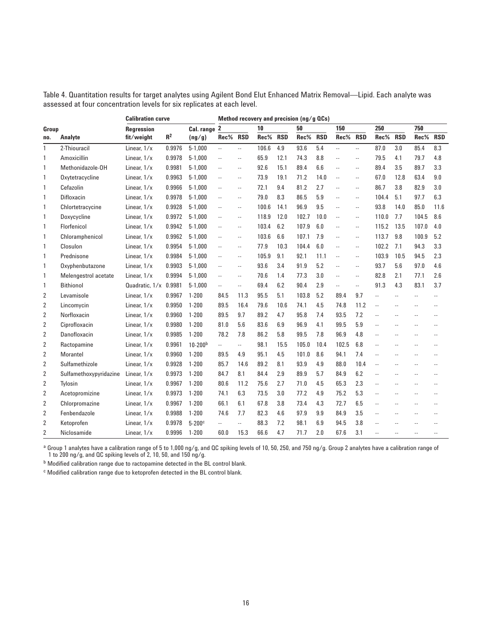Table 4. Quantitation results for target analytes using Agilent Bond Elut Enhanced Matrix Removal—Lipid. Each analyte was assessed at four concentration levels for six replicates at each level.

|                |                        | <b>Calibration curve</b> |        |             | Method recovery and precision $\frac{mg}{g}$ QCs) |                             |          |      |          |      |                |               |                          |               |                |               |
|----------------|------------------------|--------------------------|--------|-------------|---------------------------------------------------|-----------------------------|----------|------|----------|------|----------------|---------------|--------------------------|---------------|----------------|---------------|
| Group          |                        | <b>Rearession</b>        |        | Cal. range  | $\overline{2}$                                    |                             | 10       |      | 50       |      | 150            |               | 250                      |               | 750            |               |
| no.            | Analyte                | fit/weight               | $R^2$  | (ng/g)      | Rec% RSD                                          |                             | Rec% RSD |      | Rec% RSD |      | Rec%           | <b>RSD</b>    | Rec% RSD                 |               | Rec%           | <b>RSD</b>    |
| $\mathbf{1}$   | 2-Thiouracil           | Linear, 1/x              | 0.9976 | $5 - 1.000$ | u.                                                | Ξ.                          | 106.6    | 4.9  | 93.6     | 5.4  | $\mathbb{Z}^2$ | ă.            | 87.0                     | 3.0           | 85.4           | 8.3           |
| 1              | Amoxicillin            | Linear, $1/x$            | 0.9978 | $5 - 1.000$ | Ц,                                                | ă.                          | 65.9     | 12.1 | 74.3     | 8.8  | ă.             | ă.            | 79.5                     | 4.1           | 79.7           | 4.8           |
| 1              | Methonidazole-OH       | Linear, $1/x$            | 0.9981 | $5 - 1.000$ | u.                                                | $\sim$ $\sim$               | 92.6     | 15.1 | 89.4     | 6.6  | $\overline{a}$ | $\sim$ $\sim$ | 89.4                     | 3.5           | 89.7           | 3.3           |
| 1              | Oxytetracycline        | Linear, $1/x$            | 0.9963 | $5 - 1.000$ | u.                                                | $\sim$ $\sim$               | 73.9     | 19.1 | 71.2     | 14.0 | ÷.             | $\sim$        | 67.0                     | 12.8          | 63.4           | 9.0           |
| 1              | Cefazolin              | Linear, 1/x              | 0.9966 | $5 - 1,000$ | u.                                                | $\mathcal{L}_{\mathcal{A}}$ | 72.1     | 9.4  | 81.2     | 2.7  | ă.             | $\sim$ $\sim$ | 86.7                     | 3.8           | 82.9           | 3.0           |
| 1              | Difloxacin             | Linear, 1/x              | 0.9978 | $5 - 1.000$ | u.                                                | $\sim$ $\sim$               | 79.0     | 8.3  | 86.5     | 5.9  | $\overline{a}$ | $\sim$ $\sim$ | 104.4                    | 5.1           | 97.7           | 6.3           |
| 1              | Chlortetracycine       | Linear, 1/x              | 0.9928 | $5 - 1,000$ | u.                                                | $\sim$ $\sim$               | 100.6    | 14.1 | 96.9     | 9.5  | L.             | $\sim$ $\sim$ | 93.8                     | 14.0          | 85.0           | 11.6          |
| 1              | Doxycycline            | Linear, 1/x              | 0.9972 | $5 - 1,000$ | u.                                                | $\mathcal{L}_{\mathcal{A}}$ | 118.9    | 12.0 | 102.7    | 10.0 | ÷.             | $\sim$ $\sim$ | 110.0                    | 7.7           | 104.5          | 8.6           |
| 1              | Florfenicol            | Linear, 1/x              | 0.9942 | $5 - 1.000$ | u.                                                | $\sim$ $\sim$               | 103.4    | 6.2  | 107.9    | 6.0  | $\overline{a}$ | $\sim$ $\sim$ | 115.2                    | 13.5          | 107.0          | 4.0           |
| 1              | Chloramphenicol        | Linear, 1/x              | 0.9962 | $5 - 1,000$ | u.                                                | $\mathcal{L}_{\mathcal{A}}$ | 103.6    | 6.6  | 107.1    | 7.9  | $\overline{a}$ | $\sim$        | 113.7                    | 9.8           | 100.9          | 5.2           |
| 1              | Closulon               | Linear, 1/x              | 0.9954 | $5 - 1,000$ | Ц,                                                | $\mathcal{L}_{\mathcal{A}}$ | 77.9     | 10.3 | 104.4    | 6.0  | ÷.             | $\sim$        | 102.2                    | 7.1           | 94.3           | 3.3           |
| 1              | Prednisone             | Linear, $1/x$            | 0.9984 | $5 - 1.000$ | u.                                                | $\sim$ $\sim$               | 105.9    | 9.1  | 92.1     | 11.1 | $\overline{a}$ | $\sim$ $\sim$ | 103.9                    | 10.5          | 94.5           | 2.3           |
| 1              | Oxyphenbutazone        | Linear, 1/x              | 0.9903 | $5 - 1.000$ | u.                                                | $\mathcal{L}_{\mathcal{A}}$ | 93.6     | 3.4  | 91.9     | 5.2  | ă.             | $\sim$ $\sim$ | 93.7                     | 5.6           | 97.0           | 4.6           |
| 1              | Melengestrol acetate   | Linear, 1/x              | 0.9994 | $5-1,000$   | u.                                                | $\sim$ $\sim$               | 70.6     | 1.4  | 77.3     | 3.0  | $\overline{a}$ | $\sim$ $\sim$ | 82.8                     | 2.1           | 77.1           | 2.6           |
| 1              | <b>Bithionol</b>       | Quadratic. $1/x$ 0.9981  |        | $5 - 1,000$ | ш.                                                | u,                          | 69.4     | 6.2  | 90.4     | 2.9  | u,             | $\sim$        | 91.3                     | 4.3           | 83.1           | 3.7           |
| 2              | Levamisole             | Linear, 1/x              | 0.9967 | $1 - 200$   | 84.5                                              | 11.3                        | 95.5     | 5.1  | 103.8    | 5.2  | 89.4           | 9.7           | u.                       | u.            | u.             | L.            |
| $\overline{2}$ | Lincomycin             | Linear, 1/x              | 0.9950 | $1 - 200$   | 89.5                                              | 16.4                        | 79.6     | 10.6 | 74.1     | 4.5  | 74.8           | 11.2          | $\sim$ $\sim$            | ă.            | ă.             | $\sim$ $\sim$ |
| 2              | Norfloxacin            | Linear, 1/x              | 0.9960 | $1 - 200$   | 89.5                                              | 9.7                         | 89.2     | 4.7  | 95.8     | 7.4  | 93.5           | 7.2           | $\sim$ $\sim$            | $\sim$ $\sim$ | ц,             | $\sim$ $\sim$ |
| 2              | Ciprofloxacin          | Linear, 1/x              | 0.9980 | $1 - 200$   | 81.0                                              | 5.6                         | 83.6     | 6.9  | 96.9     | 4.1  | 99.5           | 5.9           | $\sim$                   | $\sim$        | $\sim$         | $\sim$ $\sim$ |
| 2              | Danofloxacin           | Linear, 1/x              | 0.9985 | $1 - 200$   | 78.2                                              | 7.8                         | 86.2     | 5.8  | 99.5     | 7.8  | 96.9           | 4.8           | $\overline{\phantom{a}}$ | $\sim$        | $\overline{a}$ | $\sim$        |
| $\overline{2}$ | Ractopamine            | Linear, 1/x              | 0.9961 | $10 - 200b$ | Щ.                                                | ÷.                          | 98.1     | 15.5 | 105.0    | 10.4 | 102.5          | 6.8           | u.                       | $\sim$ $\sim$ | Ξ.             | $\sim$        |
| 2              | Morantel               | Linear, 1/x              | 0.9960 | $1 - 200$   | 89.5                                              | 4.9                         | 95.1     | 4.5  | 101.0    | 8.6  | 94.1           | 7.4           | u.                       | u.            |                |               |
| $\overline{2}$ | Sulfamethizole         | Linear, 1/x              | 0.9928 | $1 - 200$   | 85.7                                              | 14.6                        | 89.2     | 8.1  | 93.9     | 4.9  | 88.0           | 10.4          | $\sim$                   | $\sim$        | $\sim$         | $\sim$        |
| 2              | Sulfamethoxypyridazine | Linear, 1/x              | 0.9973 | $1 - 200$   | 84.7                                              | 8.1                         | 84.4     | 2.9  | 89.9     | 5.7  | 84.9           | 6.2           | $\overline{\phantom{a}}$ | $\sim$ $\sim$ | Ξ.             | $\sim$        |
| 2              | Tylosin                | Linear, 1/x              | 0.9967 | $1 - 200$   | 80.6                                              | 11.2                        | 75.6     | 2.7  | 71.0     | 4.5  | 65.3           | 2.3           | $\sim$ $\sim$            | $\sim$ $\sim$ | ă.             | $\sim$ $\sim$ |
| 2              | Acetopromizine         | Linear, 1/x              | 0.9973 | $1 - 200$   | 74.1                                              | 6.3                         | 73.5     | 3.0  | 77.2     | 4.9  | 75.2           | 5.3           | $\sim$ $\sim$            | $\sim$        | $\sim$         | $\sim$        |
| 2              | Chlorpromazine         | Linear, 1/x              | 0.9967 | $1 - 200$   | 66.1                                              | 6.1                         | 67.8     | 3.8  | 73.4     | 4.3  | 72.7           | 6.5           | $\overline{\phantom{a}}$ | $\sim$ $\sim$ | $\overline{a}$ | $\sim$        |
| 2              | Fenbendazole           | Linear, 1/x              | 0.9988 | $1 - 200$   | 74.6                                              | 7.7                         | 82.3     | 4.6  | 97.9     | 9.9  | 84.9           | 3.5           | u.                       | $\sim$        |                | $\sim$        |
| $\overline{2}$ | Ketoprofen             | Linear, 1/x              | 0.9978 | $5-200$ c   | u.                                                | u.                          | 88.3     | 7.2  | 98.1     | 6.9  | 94.5           | 3.8           | $\sim$ $\sim$            | $\sim$        | ٥.             | $\sim$        |
| $\overline{2}$ | Niclosamide            | Linear, 1/x              | 0.9996 | $1 - 200$   | 60.0                                              | 15.3                        | 66.6     | 4.7  | 71.7     | 2.0  | 67.6           | 3.1           |                          |               |                |               |

<sup>a</sup> Group 1 analytes have a calibration range of 5 to 1,000 ng/g, and QC spiking levels of 10, 50, 250, and 750 ng/g. Group 2 analytes have a calibration range of to 200 ng/g, and QC spiking levels of 2, 10, 50, and 150 ng/g.

 $<sup>b</sup>$  Modified calibration range due to ractopamine detected in the BL control blank.</sup>

<sup>c</sup> Modified calibration range due to ketoprofen detected in the BL control blank.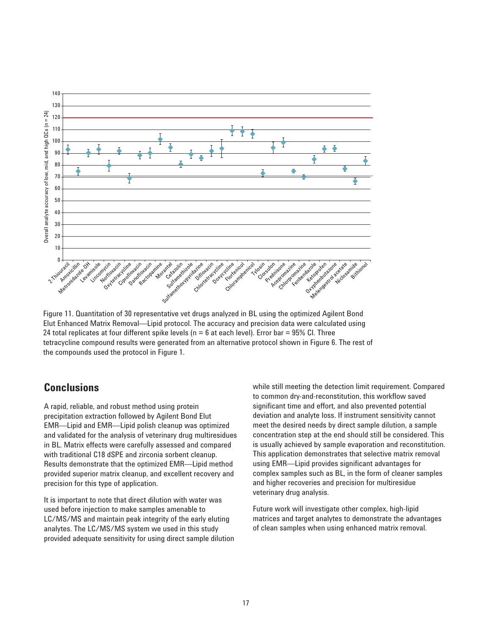

Figure 11. Quantitation of 30 representative vet drugs analyzed in BL using the optimized Agilent Bond Elut Enhanced Matrix Removal—Lipid protocol. The accuracy and precision data were calculated using 24 total replicates at four different spike levels ( $n = 6$  at each level). Error bar = 95% CI. Three tetracycline compound results were generated from an alternative protocol shown in Figure 6. The rest of the compounds used the protocol in Figure 1.

## **Conclusions**

A rapid, reliable, and robust method using protein precipitation extraction followed by Agilent Bond Elut EMR—Lipid and EMR—Lipid polish cleanup was optimized and validated for the analysis of veterinary drug multiresidues in BL. Matrix effects were carefully assessed and compared with traditional C18 dSPE and zirconia sorbent cleanup. Results demonstrate that the optimized EMR—Lipid method provided superior matrix cleanup, and excellent recovery and precision for this type of application.

It is important to note that direct dilution with water was used before injection to make samples amenable to LC/MS/MS and maintain peak integrity of the early eluting analytes. The LC/MS/MS system we used in this study provided adequate sensitivity for using direct sample dilution while still meeting the detection limit requirement. Compared to common dry-and-reconstitution, this workflow saved significant time and effort, and also prevented potential deviation and analyte loss. If instrument sensitivity cannot meet the desired needs by direct sample dilution, a sample concentration step at the end should still be considered. This is usually achieved by sample evaporation and reconstitution. This application demonstrates that selective matrix removal using EMR—Lipid provides significant advantages for complex samples such as BL, in the form of cleaner samples and higher recoveries and precision for multiresidue veterinary drug analysis.

Future work will investigate other complex, high-lipid matrices and target analytes to demonstrate the advantages of clean samples when using enhanced matrix removal.